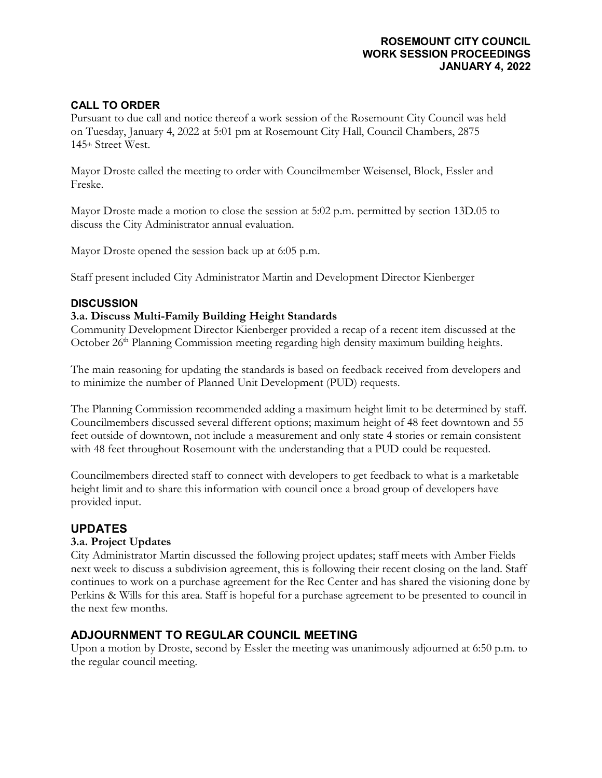#### **ROSEMOUNT CITY COUNCIL WORK SESSION PROCEEDINGS JANUARY 4, 2022**

# **CALL TO ORDER**

Pursuant to due call and notice thereof a work session of the Rosemount City Council was held on Tuesday, January 4, 2022 at 5:01 pm at Rosemount City Hall, Council Chambers, 2875 145<sup>th</sup> Street West.

Mayor Droste called the meeting to order with Councilmember Weisensel, Block, Essler and Freske.

Mayor Droste made a motion to close the session at 5:02 p.m. permitted by section 13D.05 to discuss the City Administrator annual evaluation.

Mayor Droste opened the session back up at 6:05 p.m.

Staff present included City Administrator Martin and Development Director Kienberger

#### **DISCUSSION**

#### **3.a. Discuss Multi-Family Building Height Standards**

Community Development Director Kienberger provided a recap of a recent item discussed at the October 26<sup>th</sup> Planning Commission meeting regarding high density maximum building heights.

The main reasoning for updating the standards is based on feedback received from developers and to minimize the number of Planned Unit Development (PUD) requests.

The Planning Commission recommended adding a maximum height limit to be determined by staff. Councilmembers discussed several different options; maximum height of 48 feet downtown and 55 feet outside of downtown, not include a measurement and only state 4 stories or remain consistent with 48 feet throughout Rosemount with the understanding that a PUD could be requested.

Councilmembers directed staff to connect with developers to get feedback to what is a marketable height limit and to share this information with council once a broad group of developers have provided input.

# **UPDATES**

#### **3.a. Project Updates**

City Administrator Martin discussed the following project updates; staff meets with Amber Fields next week to discuss a subdivision agreement, this is following their recent closing on the land. Staff continues to work on a purchase agreement for the Rec Center and has shared the visioning done by Perkins & Wills for this area. Staff is hopeful for a purchase agreement to be presented to council in the next few months.

# **ADJOURNMENT TO REGULAR COUNCIL MEETING**

Upon a motion by Droste, second by Essler the meeting was unanimously adjourned at 6:50 p.m. to the regular council meeting.